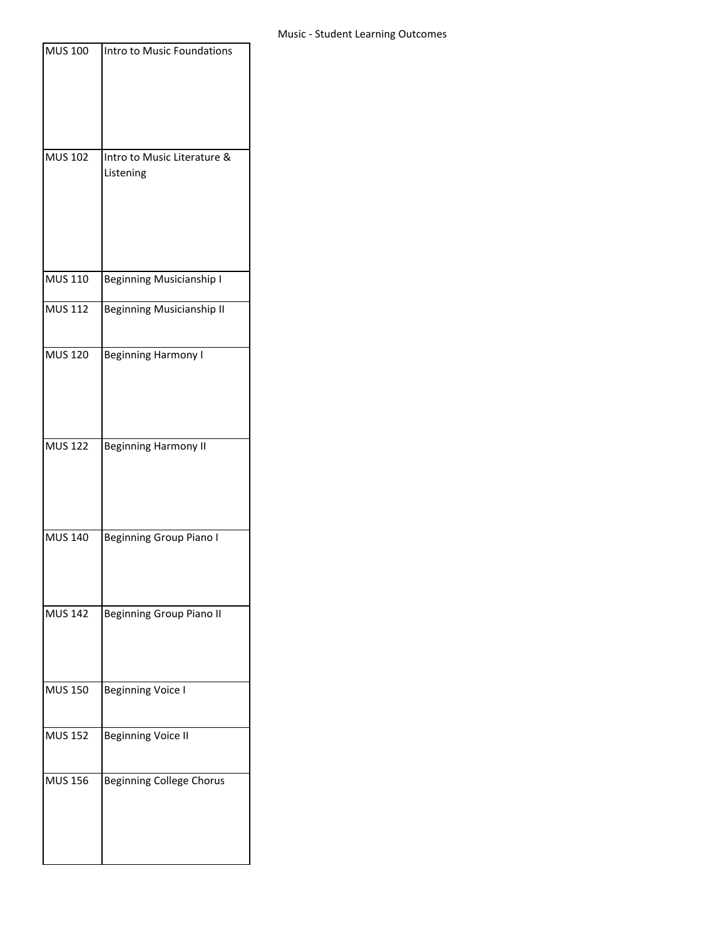| <b>MUS 100</b> | Intro to Music Foundations               |
|----------------|------------------------------------------|
|                |                                          |
| <b>MUS 102</b> | Intro to Music Literature &<br>Listening |
| <b>MUS 110</b> | <b>Beginning Musicianship I</b>          |
| <b>MUS 112</b> | <b>Beginning Musicianship II</b>         |
| <b>MUS 120</b> | <b>Beginning Harmony I</b>               |
| <b>MUS 122</b> | <b>Beginning Harmony II</b>              |
| <b>MUS 140</b> | <b>Beginning Group Piano I</b>           |
| <b>MUS 142</b> | <b>Beginning Group Piano II</b>          |
| <b>MUS 150</b> | <b>Beginning Voice I</b>                 |
| <b>MUS 152</b> | <b>Beginning Voice II</b>                |
| <b>MUS 156</b> | <b>Beginning College Chorus</b>          |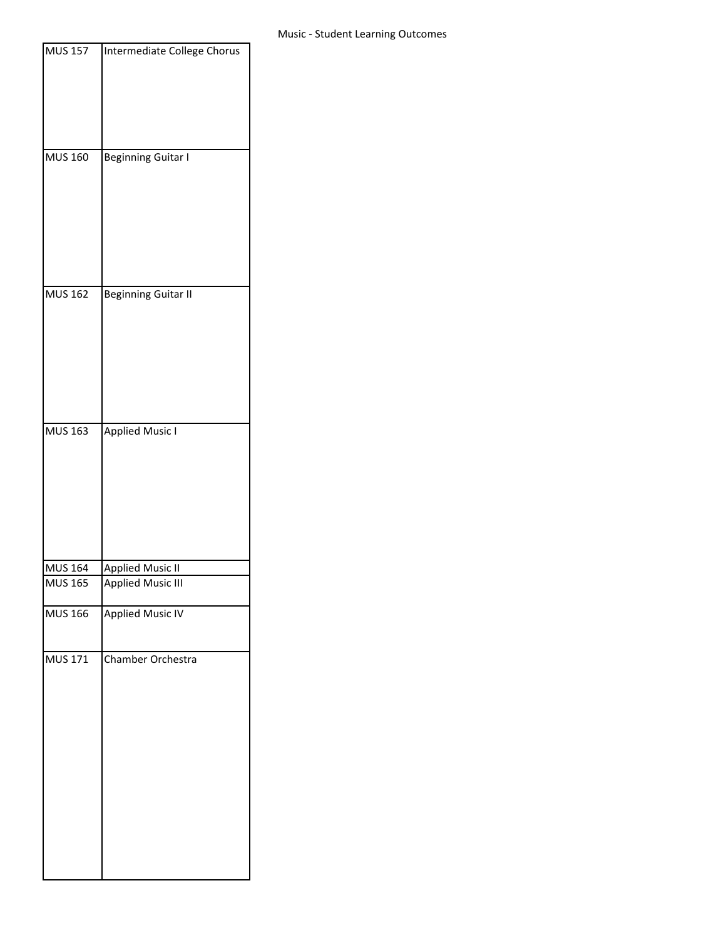| <b>MUS 157</b>                   | Intermediate College Chorus |
|----------------------------------|-----------------------------|
|                                  |                             |
|                                  |                             |
|                                  |                             |
|                                  |                             |
| <b>MUS 160</b>                   | <b>Beginning Guitar I</b>   |
|                                  |                             |
|                                  |                             |
|                                  |                             |
|                                  |                             |
|                                  |                             |
|                                  |                             |
| <b>MUS 162</b>                   | <b>Beginning Guitar II</b>  |
|                                  |                             |
|                                  |                             |
|                                  |                             |
|                                  |                             |
|                                  |                             |
|                                  |                             |
| <b>MUS 163</b>                   | <b>Applied Music I</b>      |
|                                  |                             |
|                                  |                             |
|                                  |                             |
|                                  |                             |
|                                  |                             |
|                                  |                             |
| <b>MUS 164</b><br><b>MUS 165</b> | <b>Applied Music II</b>     |
|                                  | <b>Applied Music III</b>    |
| <b>MUS 166</b>                   | <b>Applied Music IV</b>     |
|                                  |                             |
| <b>MUS 171</b>                   | Chamber Orchestra           |
|                                  |                             |
|                                  |                             |
|                                  |                             |
|                                  |                             |
|                                  |                             |
|                                  |                             |
|                                  |                             |
|                                  |                             |
|                                  |                             |
|                                  |                             |
|                                  |                             |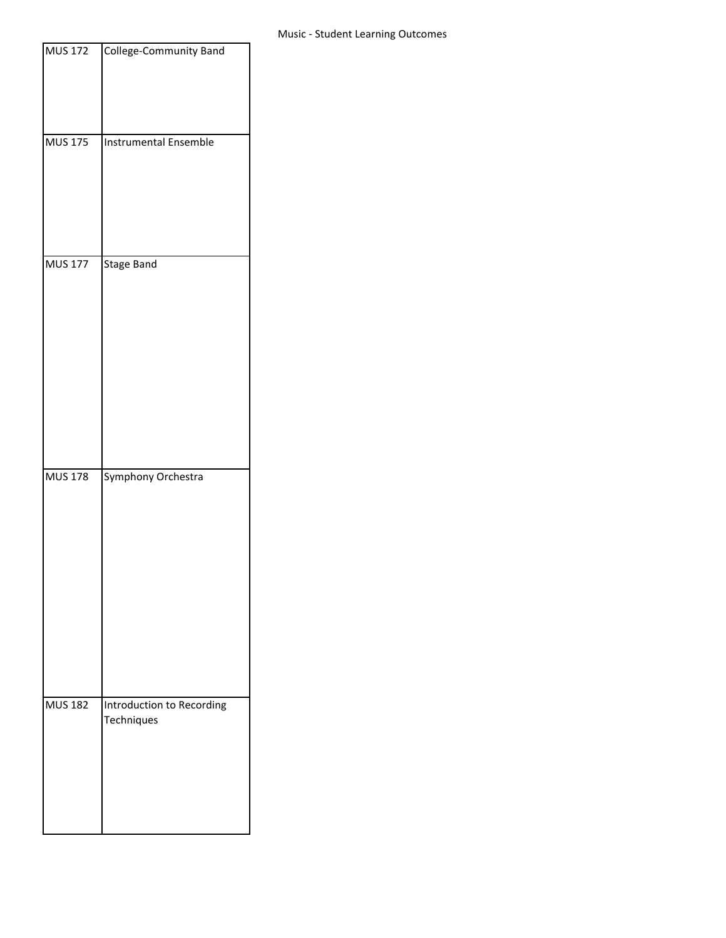| <b>MUS 172</b> | College-Community Band                  |
|----------------|-----------------------------------------|
|                |                                         |
| <b>MUS 175</b> | <b>Instrumental Ensemble</b>            |
| <b>MUS 177</b> | <b>Stage Band</b>                       |
| <b>MUS 178</b> | Symphony Orchestra                      |
| <b>MUS 182</b> | Introduction to Recording<br>Techniques |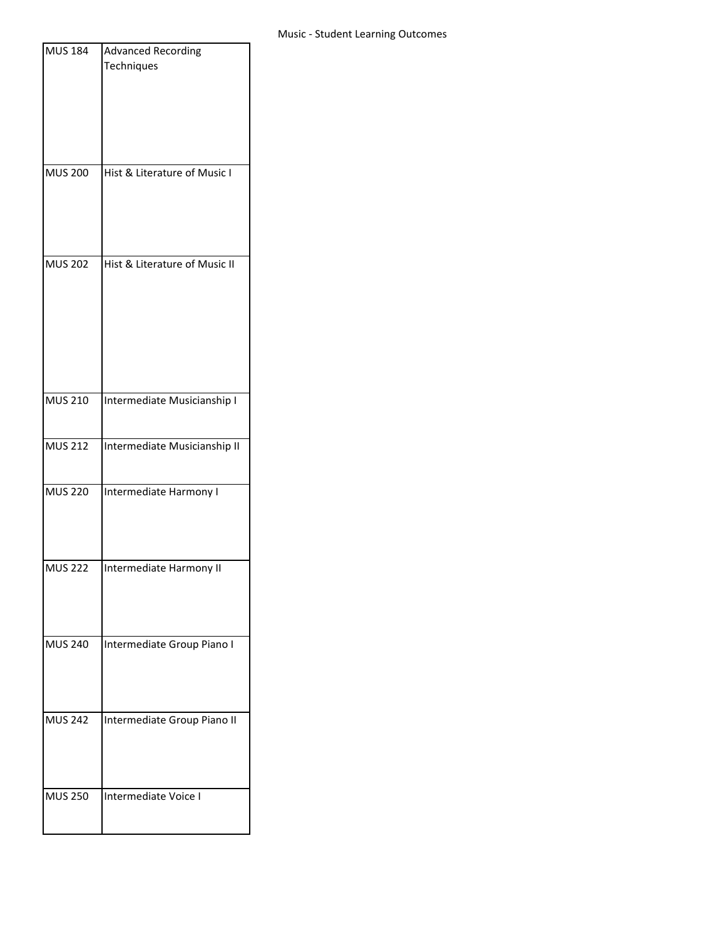| <b>MUS 184</b> | <b>Advanced Recording</b>     |
|----------------|-------------------------------|
|                | Techniques                    |
|                |                               |
|                |                               |
|                |                               |
|                |                               |
|                |                               |
| <b>MUS 200</b> | Hist & Literature of Music I  |
|                |                               |
|                |                               |
|                |                               |
| <b>MUS 202</b> |                               |
|                | Hist & Literature of Music II |
|                |                               |
|                |                               |
|                |                               |
|                |                               |
|                |                               |
|                |                               |
| <b>MUS 210</b> | Intermediate Musicianship I   |
|                |                               |
| <b>MUS 212</b> | Intermediate Musicianship II  |
|                |                               |
|                |                               |
| <b>MUS 220</b> | Intermediate Harmony I        |
|                |                               |
|                |                               |
|                |                               |
| <b>MUS 222</b> | Intermediate Harmony II       |
|                |                               |
|                |                               |
|                |                               |
| <b>MUS 240</b> | Intermediate Group Piano I    |
|                |                               |
|                |                               |
|                |                               |
| <b>MUS 242</b> | Intermediate Group Piano II   |
|                |                               |
|                |                               |
|                |                               |
| <b>MUS 250</b> | Intermediate Voice I          |
|                |                               |
|                |                               |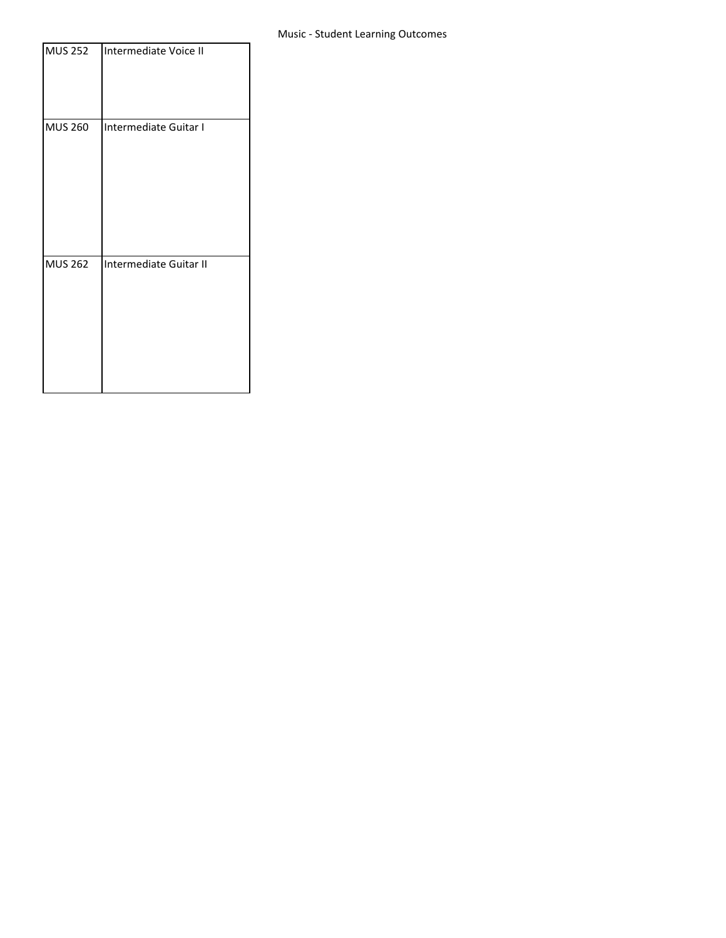| <b>MUS 252</b> | Intermediate Voice II  |
|----------------|------------------------|
| <b>MUS 260</b> | Intermediate Guitar I  |
| <b>MUS 262</b> | Intermediate Guitar II |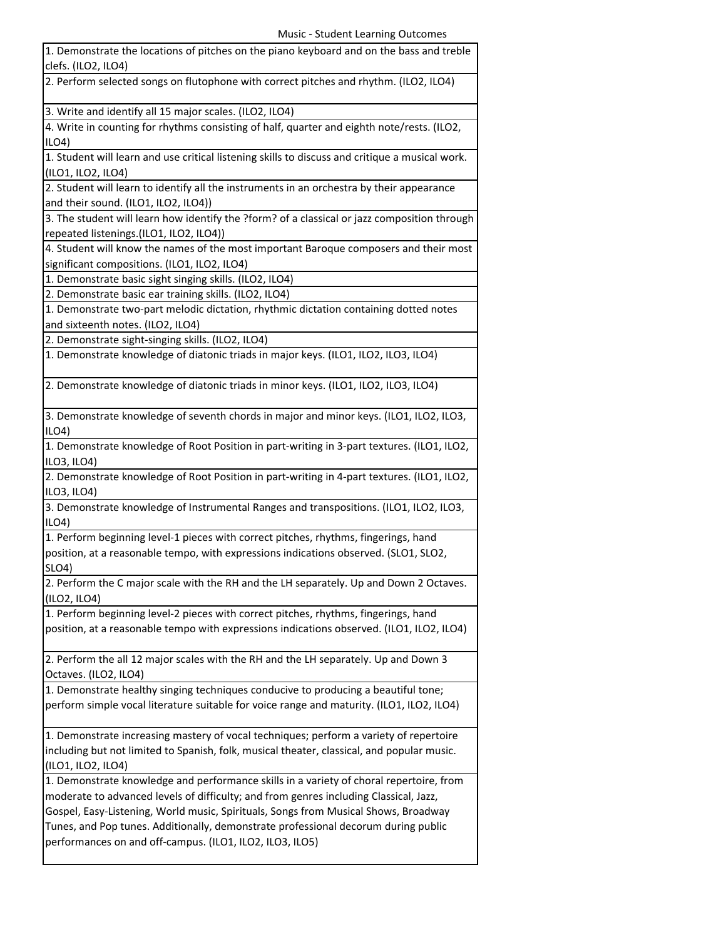| 1. Demonstrate the locations of pitches on the piano keyboard and on the bass and treble<br>clefs. (ILO2, ILO4)                                                                                                                                                         |
|-------------------------------------------------------------------------------------------------------------------------------------------------------------------------------------------------------------------------------------------------------------------------|
| 2. Perform selected songs on flutophone with correct pitches and rhythm. (ILO2, ILO4)                                                                                                                                                                                   |
| 3. Write and identify all 15 major scales. (ILO2, ILO4)                                                                                                                                                                                                                 |
| 4. Write in counting for rhythms consisting of half, quarter and eighth note/rests. (ILO2,<br>ILO4                                                                                                                                                                      |
| 1. Student will learn and use critical listening skills to discuss and critique a musical work.<br>(ILO1, ILO2, ILO4)                                                                                                                                                   |
| 2. Student will learn to identify all the instruments in an orchestra by their appearance<br>and their sound. (ILO1, ILO2, ILO4))                                                                                                                                       |
| 3. The student will learn how identify the ?form? of a classical or jazz composition through<br>repeated listenings.(ILO1, ILO2, ILO4))                                                                                                                                 |
| 4. Student will know the names of the most important Baroque composers and their most<br>significant compositions. (ILO1, ILO2, ILO4)                                                                                                                                   |
| 1. Demonstrate basic sight singing skills. (ILO2, ILO4)                                                                                                                                                                                                                 |
| 2. Demonstrate basic ear training skills. (ILO2, ILO4)                                                                                                                                                                                                                  |
| 1. Demonstrate two-part melodic dictation, rhythmic dictation containing dotted notes<br>and sixteenth notes. (ILO2, ILO4)                                                                                                                                              |
| 2. Demonstrate sight-singing skills. (ILO2, ILO4)                                                                                                                                                                                                                       |
|                                                                                                                                                                                                                                                                         |
| 1. Demonstrate knowledge of diatonic triads in major keys. (ILO1, ILO2, ILO3, ILO4)                                                                                                                                                                                     |
| 2. Demonstrate knowledge of diatonic triads in minor keys. (ILO1, ILO2, ILO3, ILO4)                                                                                                                                                                                     |
| 3. Demonstrate knowledge of seventh chords in major and minor keys. (ILO1, ILO2, ILO3,<br>ILO4                                                                                                                                                                          |
| 1. Demonstrate knowledge of Root Position in part-writing in 3-part textures. (ILO1, ILO2,<br>ILO3, ILO4)                                                                                                                                                               |
| 2. Demonstrate knowledge of Root Position in part-writing in 4-part textures. (ILO1, ILO2,<br>ILO3, ILO4)                                                                                                                                                               |
| 3. Demonstrate knowledge of Instrumental Ranges and transpositions. (ILO1, ILO2, ILO3,<br>ILO4                                                                                                                                                                          |
| 1. Perform beginning level-1 pieces with correct pitches, rhythms, fingerings, hand                                                                                                                                                                                     |
| position, at a reasonable tempo, with expressions indications observed. (SLO1, SLO2,<br>SLO <sub>4</sub> )                                                                                                                                                              |
| 2. Perform the C major scale with the RH and the LH separately. Up and Down 2 Octaves.<br>$($ ILO2, ILO4 $)$                                                                                                                                                            |
| 1. Perform beginning level-2 pieces with correct pitches, rhythms, fingerings, hand                                                                                                                                                                                     |
| position, at a reasonable tempo with expressions indications observed. (ILO1, ILO2, ILO4)                                                                                                                                                                               |
| 2. Perform the all 12 major scales with the RH and the LH separately. Up and Down 3<br>Octaves. (ILO2, ILO4)                                                                                                                                                            |
| 1. Demonstrate healthy singing techniques conducive to producing a beautiful tone;                                                                                                                                                                                      |
| perform simple vocal literature suitable for voice range and maturity. (ILO1, ILO2, ILO4)                                                                                                                                                                               |
| 1. Demonstrate increasing mastery of vocal techniques; perform a variety of repertoire<br>including but not limited to Spanish, folk, musical theater, classical, and popular music.<br>(ILO1, ILO2, ILO4)                                                              |
| 1. Demonstrate knowledge and performance skills in a variety of choral repertoire, from<br>moderate to advanced levels of difficulty; and from genres including Classical, Jazz,<br>Gospel, Easy-Listening, World music, Spirituals, Songs from Musical Shows, Broadway |
| Tunes, and Pop tunes. Additionally, demonstrate professional decorum during public<br>performances on and off-campus. (ILO1, ILO2, ILO3, ILO5)                                                                                                                          |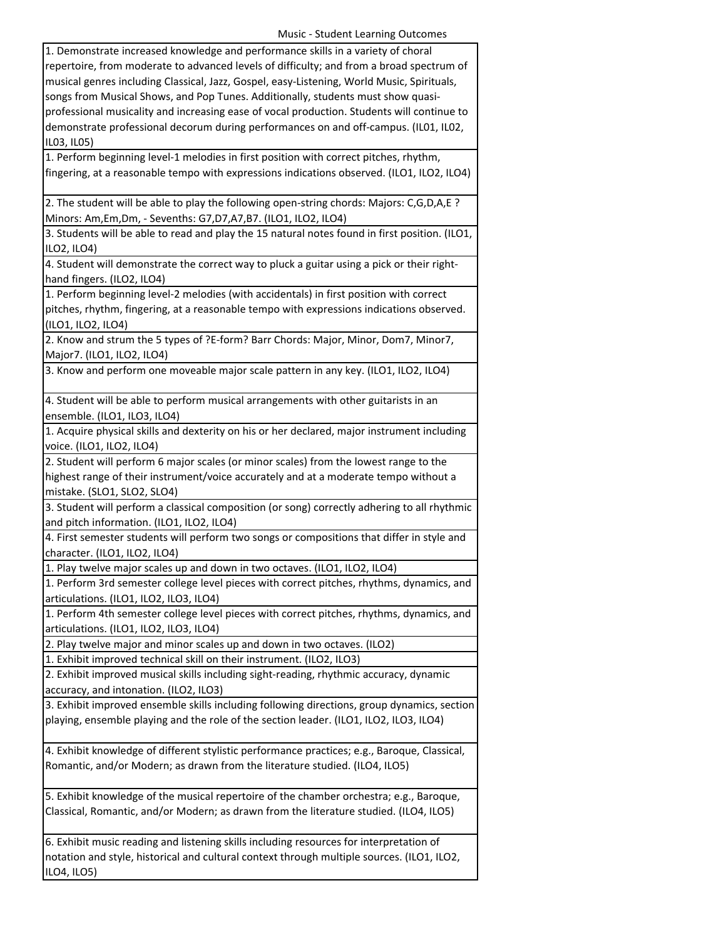| Music - Student Learning Outcomes                                                              |
|------------------------------------------------------------------------------------------------|
| 1. Demonstrate increased knowledge and performance skills in a variety of choral               |
| repertoire, from moderate to advanced levels of difficulty; and from a broad spectrum of       |
| musical genres including Classical, Jazz, Gospel, easy-Listening, World Music, Spirituals,     |
| songs from Musical Shows, and Pop Tunes. Additionally, students must show quasi-               |
| professional musicality and increasing ease of vocal production. Students will continue to     |
| demonstrate professional decorum during performances on and off-campus. (IL01, IL02,           |
| IL03, IL05)                                                                                    |
| 1. Perform beginning level-1 melodies in first position with correct pitches, rhythm,          |
| fingering, at a reasonable tempo with expressions indications observed. (ILO1, ILO2, ILO4)     |
|                                                                                                |
| 2. The student will be able to play the following open-string chords: Majors: C,G,D,A,E ?      |
| Minors: Am, Em, Dm, - Sevenths: G7, D7, A7, B7. (ILO1, ILO2, ILO4)                             |
| 3. Students will be able to read and play the 15 natural notes found in first position. (ILO1, |
| ILO2, ILO4)                                                                                    |
| 4. Student will demonstrate the correct way to pluck a guitar using a pick or their right-     |
| hand fingers. (ILO2, ILO4)                                                                     |
| 1. Perform beginning level-2 melodies (with accidentals) in first position with correct        |
| pitches, rhythm, fingering, at a reasonable tempo with expressions indications observed.       |
| (ILO1, ILO2, ILO4)                                                                             |
| 2. Know and strum the 5 types of ?E-form? Barr Chords: Major, Minor, Dom7, Minor7,             |
| Major7. (ILO1, ILO2, ILO4)                                                                     |
| 3. Know and perform one moveable major scale pattern in any key. (ILO1, ILO2, ILO4)            |
|                                                                                                |
| 4. Student will be able to perform musical arrangements with other guitarists in an            |
| ensemble. (ILO1, ILO3, ILO4)                                                                   |
| 1. Acquire physical skills and dexterity on his or her declared, major instrument including    |
| voice. (ILO1, ILO2, ILO4)                                                                      |
| 2. Student will perform 6 major scales (or minor scales) from the lowest range to the          |
| highest range of their instrument/voice accurately and at a moderate tempo without a           |
| mistake. (SLO1, SLO2, SLO4)                                                                    |
| 3. Student will perform a classical composition (or song) correctly adhering to all rhythmic   |
| and pitch information. (ILO1, ILO2, ILO4)                                                      |
| 4. First semester students will perform two songs or compositions that differ in style and     |
| character. (ILO1, ILO2, ILO4)                                                                  |
| 1. Play twelve major scales up and down in two octaves. (ILO1, ILO2, ILO4)                     |
| 1. Perform 3rd semester college level pieces with correct pitches, rhythms, dynamics, and      |
| articulations. (ILO1, ILO2, ILO3, ILO4)                                                        |
| 1. Perform 4th semester college level pieces with correct pitches, rhythms, dynamics, and      |
| articulations. (ILO1, ILO2, ILO3, ILO4)                                                        |
| 2. Play twelve major and minor scales up and down in two octaves. (ILO2)                       |
| 1. Exhibit improved technical skill on their instrument. (ILO2, ILO3)                          |
| 2. Exhibit improved musical skills including sight-reading, rhythmic accuracy, dynamic         |
| accuracy, and intonation. (ILO2, ILO3)                                                         |
| 3. Exhibit improved ensemble skills including following directions, group dynamics, section    |
| playing, ensemble playing and the role of the section leader. (ILO1, ILO2, ILO3, ILO4)         |
|                                                                                                |
| 4. Exhibit knowledge of different stylistic performance practices; e.g., Baroque, Classical,   |
| Romantic, and/or Modern; as drawn from the literature studied. (ILO4, ILO5)                    |
|                                                                                                |
| 5. Exhibit knowledge of the musical repertoire of the chamber orchestra; e.g., Baroque,        |
| Classical, Romantic, and/or Modern; as drawn from the literature studied. (ILO4, ILO5)         |
|                                                                                                |
| 6. Exhibit music reading and listening skills including resources for interpretation of        |
| notation and style, historical and cultural context through multiple sources. (ILO1, ILO2,     |
|                                                                                                |

ILO4, ILO5)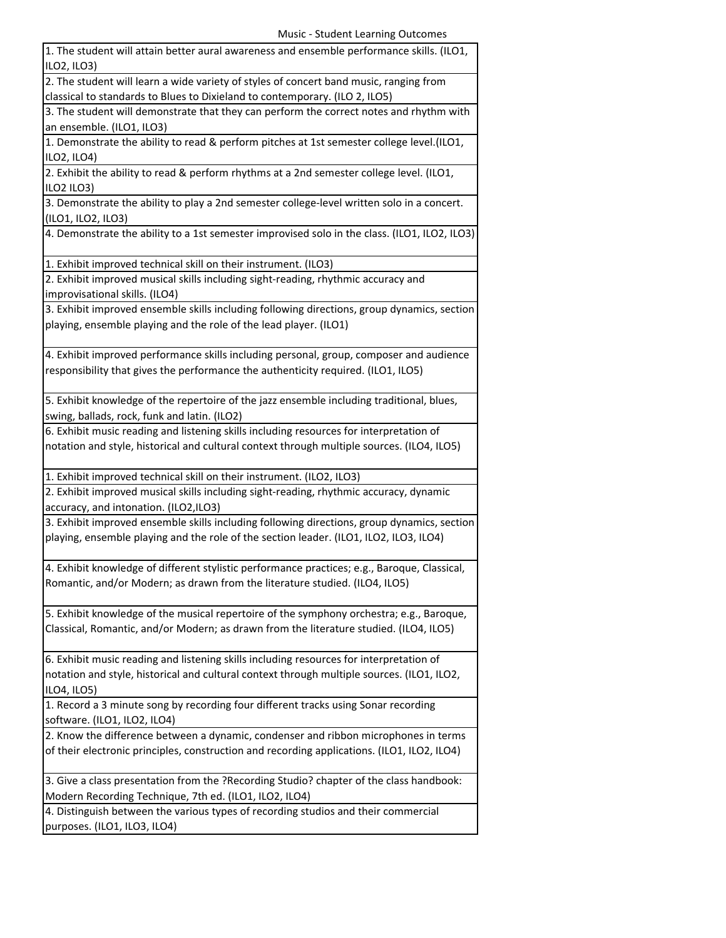| 1. The student will attain better aural awareness and ensemble performance skills. (ILO1,<br>ILO2, ILO3)             |
|----------------------------------------------------------------------------------------------------------------------|
| 2. The student will learn a wide variety of styles of concert band music, ranging from                               |
| classical to standards to Blues to Dixieland to contemporary. (ILO 2, ILO5)                                          |
| 3. The student will demonstrate that they can perform the correct notes and rhythm with<br>an ensemble. (ILO1, ILO3) |
| 1. Demonstrate the ability to read & perform pitches at 1st semester college level.(ILO1,                            |
| ILO2, ILO4)                                                                                                          |
| 2. Exhibit the ability to read & perform rhythms at a 2nd semester college level. (ILO1,                             |
| ILO2 ILO3)                                                                                                           |
| 3. Demonstrate the ability to play a 2nd semester college-level written solo in a concert.                           |
| (ILO1, ILO2, ILO3)                                                                                                   |
| 4. Demonstrate the ability to a 1st semester improvised solo in the class. (ILO1, ILO2, ILO3)                        |
| 1. Exhibit improved technical skill on their instrument. (ILO3)                                                      |
| 2. Exhibit improved musical skills including sight-reading, rhythmic accuracy and                                    |
| improvisational skills. (ILO4)                                                                                       |
| 3. Exhibit improved ensemble skills including following directions, group dynamics, section                          |
| playing, ensemble playing and the role of the lead player. (ILO1)                                                    |
|                                                                                                                      |
| 4. Exhibit improved performance skills including personal, group, composer and audience                              |
| responsibility that gives the performance the authenticity required. (ILO1, ILO5)                                    |
|                                                                                                                      |
| 5. Exhibit knowledge of the repertoire of the jazz ensemble including traditional, blues,                            |
| swing, ballads, rock, funk and latin. (ILO2)                                                                         |
| 6. Exhibit music reading and listening skills including resources for interpretation of                              |
| notation and style, historical and cultural context through multiple sources. (ILO4, ILO5)                           |
| 1. Exhibit improved technical skill on their instrument. (ILO2, ILO3)                                                |
| 2. Exhibit improved musical skills including sight-reading, rhythmic accuracy, dynamic                               |
| accuracy, and intonation. (ILO2,ILO3)                                                                                |
| 3. Exhibit improved ensemble skills including following directions, group dynamics, section                          |
| playing, ensemble playing and the role of the section leader. (ILO1, ILO2, ILO3, ILO4)                               |
| 4. Exhibit knowledge of different stylistic performance practices; e.g., Baroque, Classical,                         |
| Romantic, and/or Modern; as drawn from the literature studied. (ILO4, ILO5)                                          |
|                                                                                                                      |
| 5. Exhibit knowledge of the musical repertoire of the symphony orchestra; e.g., Baroque,                             |
| Classical, Romantic, and/or Modern; as drawn from the literature studied. (ILO4, ILO5)                               |
|                                                                                                                      |
| 6. Exhibit music reading and listening skills including resources for interpretation of                              |
| notation and style, historical and cultural context through multiple sources. (ILO1, ILO2,                           |
|                                                                                                                      |
|                                                                                                                      |
| ILO4, ILO5)                                                                                                          |
| 1. Record a 3 minute song by recording four different tracks using Sonar recording                                   |
| software. (ILO1, ILO2, ILO4)                                                                                         |
| 2. Know the difference between a dynamic, condenser and ribbon microphones in terms                                  |
| of their electronic principles, construction and recording applications. (ILO1, ILO2, ILO4)                          |
| 3. Give a class presentation from the ?Recording Studio? chapter of the class handbook:                              |
| Modern Recording Technique, 7th ed. (ILO1, ILO2, ILO4)                                                               |
| 4. Distinguish between the various types of recording studios and their commercial                                   |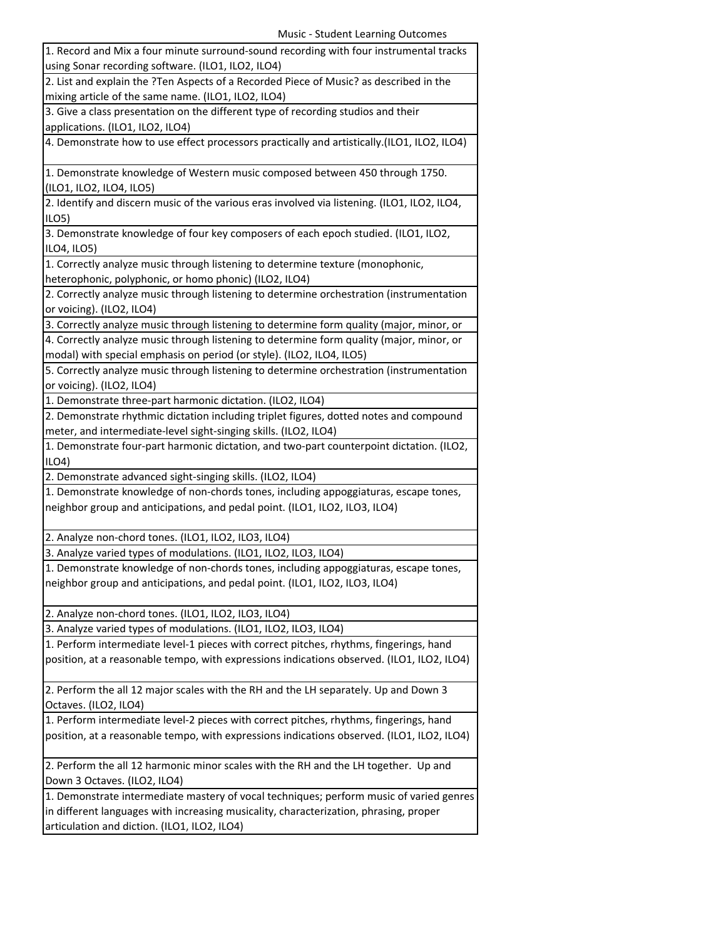| 1. Record and Mix a four minute surround-sound recording with four instrumental tracks                                                |
|---------------------------------------------------------------------------------------------------------------------------------------|
| using Sonar recording software. (ILO1, ILO2, ILO4)                                                                                    |
| 2. List and explain the ?Ten Aspects of a Recorded Piece of Music? as described in the                                                |
| mixing article of the same name. (ILO1, ILO2, ILO4)                                                                                   |
| 3. Give a class presentation on the different type of recording studios and their                                                     |
| applications. (ILO1, ILO2, ILO4)                                                                                                      |
| 4. Demonstrate how to use effect processors practically and artistically.(ILO1, ILO2, ILO4)                                           |
|                                                                                                                                       |
| 1. Demonstrate knowledge of Western music composed between 450 through 1750.                                                          |
| (ILO1, ILO2, ILO4, ILO5)                                                                                                              |
| 2. Identify and discern music of the various eras involved via listening. (ILO1, ILO2, ILO4,                                          |
| ILO <sub>5</sub>                                                                                                                      |
| 3. Demonstrate knowledge of four key composers of each epoch studied. (ILO1, ILO2,                                                    |
| ILO4, ILO5)                                                                                                                           |
| 1. Correctly analyze music through listening to determine texture (monophonic,                                                        |
| heterophonic, polyphonic, or homo phonic) (ILO2, ILO4)                                                                                |
| 2. Correctly analyze music through listening to determine orchestration (instrumentation                                              |
| or voicing). (ILO2, ILO4)                                                                                                             |
| 3. Correctly analyze music through listening to determine form quality (major, minor, or                                              |
| 4. Correctly analyze music through listening to determine form quality (major, minor, or                                              |
| modal) with special emphasis on period (or style). (ILO2, ILO4, ILO5)                                                                 |
| 5. Correctly analyze music through listening to determine orchestration (instrumentation                                              |
| or voicing). (ILO2, ILO4)                                                                                                             |
| 1. Demonstrate three-part harmonic dictation. (ILO2, ILO4)                                                                            |
| 2. Demonstrate rhythmic dictation including triplet figures, dotted notes and compound                                                |
| meter, and intermediate-level sight-singing skills. (ILO2, ILO4)                                                                      |
|                                                                                                                                       |
| 1. Demonstrate four-part harmonic dictation, and two-part counterpoint dictation. (ILO2,                                              |
| ILO4)                                                                                                                                 |
| 2. Demonstrate advanced sight-singing skills. (ILO2, ILO4)                                                                            |
| 1. Demonstrate knowledge of non-chords tones, including appoggiaturas, escape tones,                                                  |
| neighbor group and anticipations, and pedal point. (ILO1, ILO2, ILO3, ILO4)                                                           |
|                                                                                                                                       |
| 2. Analyze non-chord tones. (ILO1, ILO2, ILO3, ILO4)                                                                                  |
| 3. Analyze varied types of modulations. (ILO1, ILO2, ILO3, ILO4)                                                                      |
| 1. Demonstrate knowledge of non-chords tones, including appoggiaturas, escape tones,                                                  |
| neighbor group and anticipations, and pedal point. (ILO1, ILO2, ILO3, ILO4)                                                           |
|                                                                                                                                       |
| 2. Analyze non-chord tones. (ILO1, ILO2, ILO3, ILO4)                                                                                  |
| 3. Analyze varied types of modulations. (ILO1, ILO2, ILO3, ILO4)                                                                      |
| 1. Perform intermediate level-1 pieces with correct pitches, rhythms, fingerings, hand                                                |
| position, at a reasonable tempo, with expressions indications observed. (ILO1, ILO2, ILO4)                                            |
|                                                                                                                                       |
| 2. Perform the all 12 major scales with the RH and the LH separately. Up and Down 3                                                   |
| Octaves. (ILO2, ILO4)                                                                                                                 |
| 1. Perform intermediate level-2 pieces with correct pitches, rhythms, fingerings, hand                                                |
| position, at a reasonable tempo, with expressions indications observed. (ILO1, ILO2, ILO4)                                            |
|                                                                                                                                       |
| 2. Perform the all 12 harmonic minor scales with the RH and the LH together. Up and                                                   |
| Down 3 Octaves. (ILO2, ILO4)                                                                                                          |
| 1. Demonstrate intermediate mastery of vocal techniques; perform music of varied genres                                               |
| in different languages with increasing musicality, characterization, phrasing, proper<br>articulation and diction. (ILO1, ILO2, ILO4) |